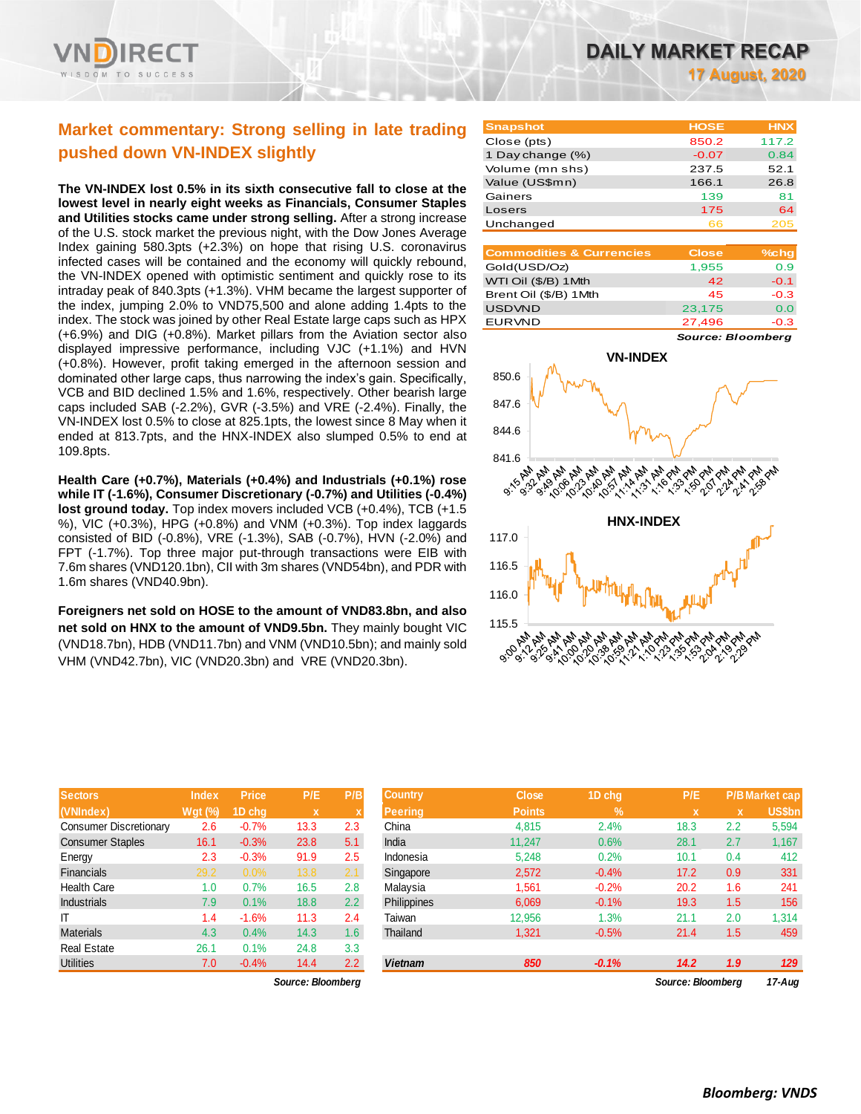

# **Market commentary: Strong selling in late trading pushed down VN-INDEX slightly**

**The VN-INDEX lost 0.5% in its sixth consecutive fall to close at the lowest level in nearly eight weeks as Financials, Consumer Staples and Utilities stocks came under strong selling.** After a strong increase of the U.S. stock market the previous night, with the Dow Jones Average Index gaining 580.3pts (+2.3%) on hope that rising U.S. coronavirus infected cases will be contained and the economy will quickly rebound, the VN-INDEX opened with optimistic sentiment and quickly rose to its intraday peak of 840.3pts (+1.3%). VHM became the largest supporter of the index, jumping 2.0% to VND75,500 and alone adding 1.4pts to the index. The stock was joined by other Real Estate large caps such as HPX (+6.9%) and DIG (+0.8%). Market pillars from the Aviation sector also displayed impressive performance, including VJC (+1.1%) and HVN (+0.8%). However, profit taking emerged in the afternoon session and dominated other large caps, thus narrowing the index's gain. Specifically, VCB and BID declined 1.5% and 1.6%, respectively. Other bearish large caps included SAB (-2.2%), GVR (-3.5%) and VRE (-2.4%). Finally, the VN-INDEX lost 0.5% to close at 825.1pts, the lowest since 8 May when it ended at 813.7pts, and the HNX-INDEX also slumped 0.5% to end at 109.8pts.

**Health Care (+0.7%), Materials (+0.4%) and Industrials (+0.1%) rose while IT (-1.6%), Consumer Discretionary (-0.7%) and Utilities (-0.4%) lost ground today.** Top index movers included VCB (+0.4%), TCB (+1.5 %), VIC (+0.3%), HPG (+0.8%) and VNM (+0.3%). Top index laggards consisted of BID (-0.8%), VRE (-1.3%), SAB (-0.7%), HVN (-2.0%) and FPT (-1.7%). Top three major put-through transactions were EIB with 7.6m shares (VND120.1bn), CII with 3m shares (VND54bn), and PDR with 1.6m shares (VND40.9bn).

**Foreigners net sold on HOSE to the amount of VND83.8bn, and also net sold on HNX to the amount of VND9.5bn.** They mainly bought VIC (VND18.7bn), HDB (VND11.7bn) and VNM (VND10.5bn); and mainly sold VHM (VND42.7bn), VIC (VND20.3bn) and VRE (VND20.3bn).

| <b>Sectors</b>                | <b>Index</b>   | <b>Price</b> | P/E         | P/B |
|-------------------------------|----------------|--------------|-------------|-----|
| (VNIndex)                     | <b>Wgt (%)</b> | 1D chg       | $\mathbf x$ | X   |
| <b>Consumer Discretionary</b> | 2.6            | $-0.7%$      | 13.3        | 2.3 |
| <b>Consumer Staples</b>       | 16.1           | $-0.3%$      | 23.8        | 5.1 |
| Energy                        | 2.3            | $-0.3%$      | 91.9        | 2.5 |
| Financials                    | 29.2           | 0.0%         | 13.8        | 2.1 |
| <b>Health Care</b>            | 1.0            | 0.7%         | 16.5        | 2.8 |
| <b>Industrials</b>            | 7.9            | 0.1%         | 18.8        | 2.2 |
| ΙT                            | 1.4            | $-1.6%$      | 11.3        | 2.4 |
| <b>Materials</b>              | 4.3            | 0.4%         | 14.3        | 1.6 |
| <b>Real Estate</b>            | 26.1           | 0.1%         | 24.8        | 3.3 |
| <b>Utilities</b>              | 7.0            | $-0.4%$      | 14.4        | 2.2 |

**17 August, 2020**

| <b>Snapshot</b>  | <b>HOSE</b> | <b>HNX</b> |
|------------------|-------------|------------|
| Close (pts)      | 850.2       | 117.2      |
| 1 Day change (%) | $-0.07$     | 0.84       |
| Volume (mn shs)  | 237.5       | 52.1       |
| Value (US\$mn)   | 166.1       | 26.8       |
| Gainers          | 139         | 81         |
| Losers           | 175         | 64         |
| Unchanged        | ธธ          | 205        |

| <b>Commodities &amp; Currencies</b> | <b>Close</b> | $%$ cha |
|-------------------------------------|--------------|---------|
| Gold(USD/Oz)                        | 1,955        | 0.9     |
| WTI Oil (\$/B) 1 Mth                | 42           | $-0.1$  |
| Brent Oil (\$/B) 1Mth               | 45           | $-0.3$  |
| <b>USDVND</b>                       | 23,175       | 0.0     |
| <b>EURVND</b>                       | 27,496       | $-0.3$  |

*Source: Bloomberg*



| <b>Sectors</b>                | <b>Index</b> | <b>Price</b> | P/E               | P/B | <b>Country</b> | <b>Close</b>  | 1D chg  | P/E               |     | <b>P/B Market cap</b> |
|-------------------------------|--------------|--------------|-------------------|-----|----------------|---------------|---------|-------------------|-----|-----------------------|
| (VNIndex)                     | $Wgt$ (%)    | 1D chq       | $\mathbf x$       |     | <b>Peering</b> | <b>Points</b> | $\%$    | x                 | x   | <b>US\$bn</b>         |
| <b>Consumer Discretionary</b> | 2.6          | $-0.7%$      | 13.3              | 2.3 | China          | 4,815         | 2.4%    | 18.3              | 2.2 | 5,594                 |
| <b>Consumer Staples</b>       | 16.1         | $-0.3%$      | 23.8              | 5.1 | India          | 11,247        | 0.6%    | 28.1              | 2.7 | 1,167                 |
| Energy                        | 2.3          | $-0.3%$      | 91.9              | 2.5 | Indonesia      | 5,248         | 0.2%    | 10.1              | 0.4 | 412                   |
| Financials                    | 29.2         | $0.0\%$      | 13.8              | 2.1 | Singapore      | 2,572         | $-0.4%$ | 17.2              | 0.9 | 331                   |
| Health Care                   | 1.0          | 0.7%         | 16.5              | 2.8 | Malaysia       | 1,561         | $-0.2%$ | 20.2              | 1.6 | 241                   |
| <b>Industrials</b>            | 7.9          | 0.1%         | 18.8              | 2.2 | Philippines    | 6,069         | $-0.1%$ | 19.3              | 1.5 | 156                   |
| ΙT                            | 1.4          | $-1.6%$      | 11.3              | 2.4 | Taiwan         | 12,956        | 1.3%    | 21.1              | 2.0 | 1,314                 |
| <b>Materials</b>              | 4.3          | 0.4%         | 14.3              | 1.6 | Thailand       | 1,321         | $-0.5%$ | 21.4              | 1.5 | 459                   |
| Real Estate                   | 26.1         | 0.1%         | 24.8              | 3.3 |                |               |         |                   |     |                       |
| <b>Utilities</b>              | 7.0          | $-0.4%$      | 14.4              | 2.2 | <b>Vietnam</b> | 850           | $-0.1%$ | 14.2              | 1.9 | 129                   |
|                               |              |              | Source: Bloomberg |     |                |               |         | Source: Bloombera |     | 17-Aug                |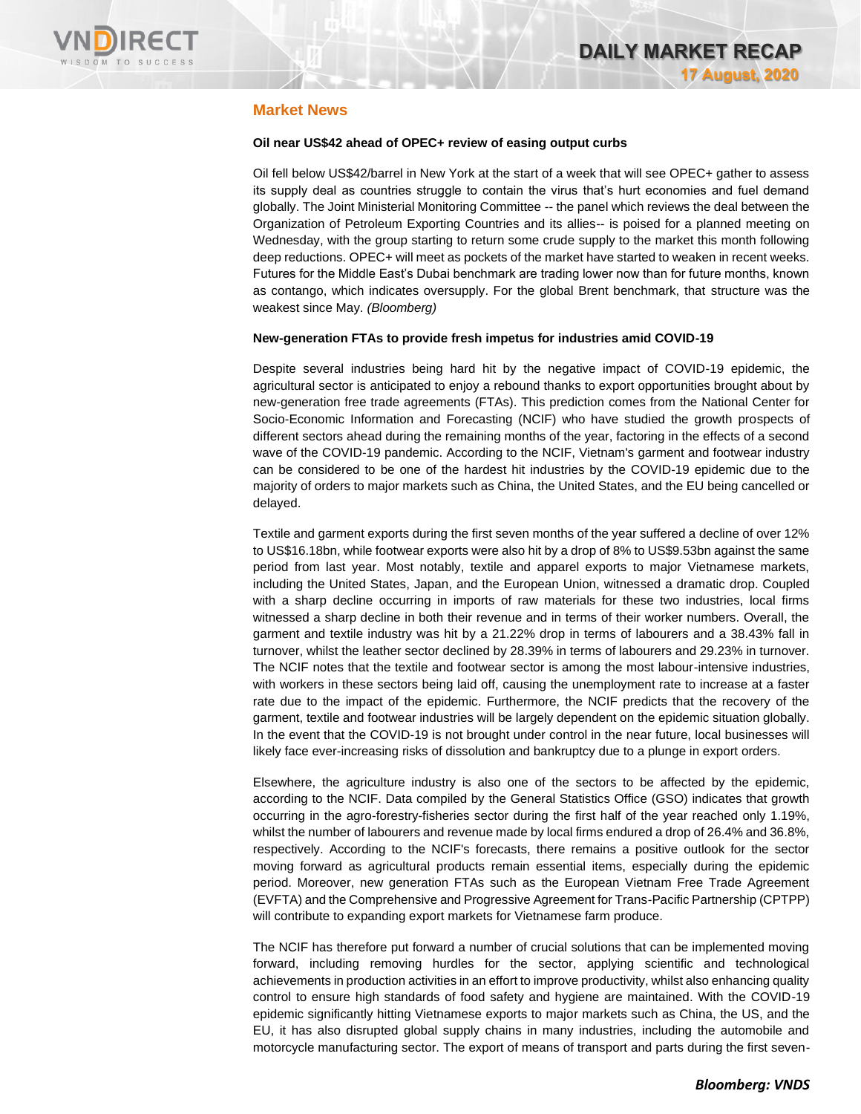

# **Market News**

## **Oil near US\$42 ahead of OPEC+ review of easing output curbs**

Oil fell below US\$42/barrel in New York at the start of a week that will see OPEC+ gather to assess its supply deal as countries struggle to contain the virus that's hurt economies and fuel demand globally. The Joint Ministerial Monitoring Committee -- the panel which reviews the deal between the Organization of Petroleum Exporting Countries and its allies-- is poised for a planned meeting on Wednesday, with the group starting to return some crude supply to the market this month following deep reductions. OPEC+ will meet as pockets of the market have started to weaken in recent weeks. Futures for the Middle East's Dubai benchmark are trading lower now than for future months, known as contango, which indicates oversupply. For the global Brent benchmark, that structure was the weakest since May. *(Bloomberg)*

### **New-generation FTAs to provide fresh impetus for industries amid COVID-19**

Despite several industries being hard hit by the negative impact of COVID-19 epidemic, the agricultural sector is anticipated to enjoy a rebound thanks to export opportunities brought about by new-generation free trade agreements (FTAs). This prediction comes from the National Center for Socio-Economic Information and Forecasting (NCIF) who have studied the growth prospects of different sectors ahead during the remaining months of the year, factoring in the effects of a second wave of the COVID-19 pandemic. According to the NCIF, Vietnam's garment and footwear industry can be considered to be one of the hardest hit industries by the COVID-19 epidemic due to the majority of orders to major markets such as China, the United States, and the EU being cancelled or delayed.

Textile and garment exports during the first seven months of the year suffered a decline of over 12% to US\$16.18bn, while footwear exports were also hit by a drop of 8% to US\$9.53bn against the same period from last year. Most notably, textile and apparel exports to major Vietnamese markets, including the United States, Japan, and the European Union, witnessed a dramatic drop. Coupled with a sharp decline occurring in imports of raw materials for these two industries, local firms witnessed a sharp decline in both their revenue and in terms of their worker numbers. Overall, the garment and textile industry was hit by a 21.22% drop in terms of labourers and a 38.43% fall in turnover, whilst the leather sector declined by 28.39% in terms of labourers and 29.23% in turnover. The NCIF notes that the textile and footwear sector is among the most labour-intensive industries, with workers in these sectors being laid off, causing the unemployment rate to increase at a faster rate due to the impact of the epidemic. Furthermore, the NCIF predicts that the recovery of the garment, textile and footwear industries will be largely dependent on the epidemic situation globally. In the event that the COVID-19 is not brought under control in the near future, local businesses will likely face ever-increasing risks of dissolution and bankruptcy due to a plunge in export orders.

Elsewhere, the agriculture industry is also one of the sectors to be affected by the epidemic, according to the NCIF. Data compiled by the General Statistics Office (GSO) indicates that growth occurring in the agro-forestry-fisheries sector during the first half of the year reached only 1.19%, whilst the number of labourers and revenue made by local firms endured a drop of 26.4% and 36.8%, respectively. According to the NCIF's forecasts, there remains a positive outlook for the sector moving forward as agricultural products remain essential items, especially during the epidemic period. Moreover, new generation FTAs such as the European Vietnam Free Trade Agreement (EVFTA) and the Comprehensive and Progressive Agreement for Trans-Pacific Partnership (CPTPP) will contribute to expanding export markets for Vietnamese farm produce.

The NCIF has therefore put forward a number of crucial solutions that can be implemented moving forward, including removing hurdles for the sector, applying scientific and technological achievements in production activities in an effort to improve productivity, whilst also enhancing quality control to ensure high standards of food safety and hygiene are maintained. With the COVID-19 epidemic significantly hitting Vietnamese exports to major markets such as China, the US, and the EU, it has also disrupted global supply chains in many industries, including the automobile and motorcycle manufacturing sector. The export of means of transport and parts during the first seven-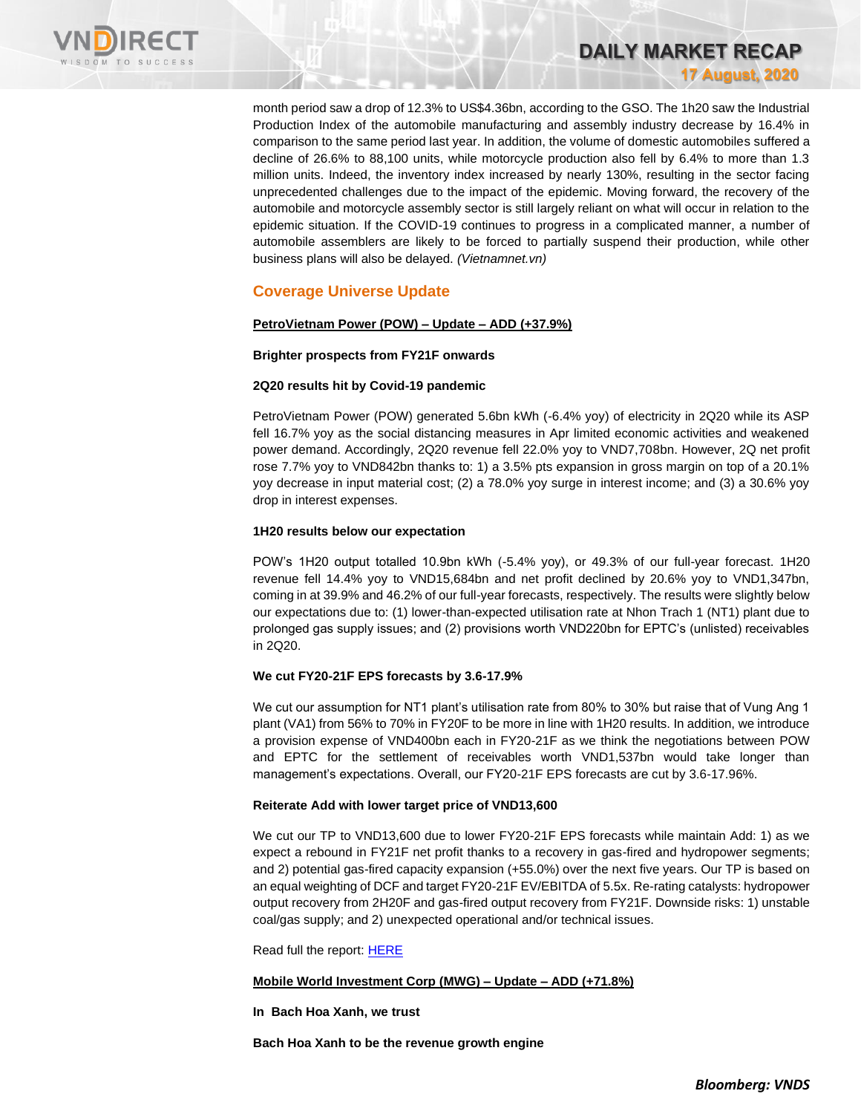

month period saw a drop of 12.3% to US\$4.36bn, according to the GSO. The 1h20 saw the Industrial Production Index of the automobile manufacturing and assembly industry decrease by 16.4% in comparison to the same period last year. In addition, the volume of domestic automobiles suffered a decline of 26.6% to 88,100 units, while motorcycle production also fell by 6.4% to more than 1.3 million units. Indeed, the inventory index increased by nearly 130%, resulting in the sector facing unprecedented challenges due to the impact of the epidemic. Moving forward, the recovery of the automobile and motorcycle assembly sector is still largely reliant on what will occur in relation to the epidemic situation. If the COVID-19 continues to progress in a complicated manner, a number of automobile assemblers are likely to be forced to partially suspend their production, while other business plans will also be delayed. *(Vietnamnet.vn)*

**DAILY MARKET RECAP** 

**17 August, 2020**

# **Coverage Universe Update**

## **PetroVietnam Power (POW) – Update – ADD (+37.9%)**

### **Brighter prospects from FY21F onwards**

### **2Q20 results hit by Covid-19 pandemic**

PetroVietnam Power (POW) generated 5.6bn kWh (-6.4% yoy) of electricity in 2Q20 while its ASP fell 16.7% yoy as the social distancing measures in Apr limited economic activities and weakened power demand. Accordingly, 2Q20 revenue fell 22.0% yoy to VND7,708bn. However, 2Q net profit rose 7.7% yoy to VND842bn thanks to: 1) a 3.5% pts expansion in gross margin on top of a 20.1% yoy decrease in input material cost; (2) a 78.0% yoy surge in interest income; and (3) a 30.6% yoy drop in interest expenses.

## **1H20 results below our expectation**

POW's 1H20 output totalled 10.9bn kWh (-5.4% yoy), or 49.3% of our full-year forecast. 1H20 revenue fell 14.4% yoy to VND15,684bn and net profit declined by 20.6% yoy to VND1,347bn, coming in at 39.9% and 46.2% of our full-year forecasts, respectively. The results were slightly below our expectations due to: (1) lower-than-expected utilisation rate at Nhon Trach 1 (NT1) plant due to prolonged gas supply issues; and (2) provisions worth VND220bn for EPTC's (unlisted) receivables in 2Q20.

## **We cut FY20-21F EPS forecasts by 3.6-17.9%**

We cut our assumption for NT1 plant's utilisation rate from 80% to 30% but raise that of Vung Ang 1 plant (VA1) from 56% to 70% in FY20F to be more in line with 1H20 results. In addition, we introduce a provision expense of VND400bn each in FY20-21F as we think the negotiations between POW and EPTC for the settlement of receivables worth VND1,537bn would take longer than management's expectations. Overall, our FY20-21F EPS forecasts are cut by 3.6-17.96%.

## **Reiterate Add with lower target price of VND13,600**

We cut our TP to VND13,600 due to lower FY20-21F EPS forecasts while maintain Add: 1) as we expect a rebound in FY21F net profit thanks to a recovery in gas-fired and hydropower segments; and 2) potential gas-fired capacity expansion (+55.0%) over the next five years. Our TP is based on an equal weighting of DCF and target FY20-21F EV/EBITDA of 5.5x. Re-rating catalysts: hydropower output recovery from 2H20F and gas-fired output recovery from FY21F. Downside risks: 1) unstable coal/gas supply; and 2) unexpected operational and/or technical issues.

Read full the report[: HERE](https://nhanha-public-api.vndirect.com.vn/click/OGE0ODlmZDA3MDVhYmY5ZTAxNzA1Y2ZkYmY4YjAwMDM=/ZGY0NjEyZTQ4NWRkNDk5ZTlhZWI5ODExMGQ5NDEwYWE=/df4612e485dd499e9aeb98110d9410aa-POW_Update_20200814.pdf/cmVzZWFyY2hAdm5kaXJlY3QuY29tLnZu/MjA5MDc=)

### **Mobile World Investment Corp (MWG) – Update – ADD (+71.8%)**

**In Bach Hoa Xanh, we trust**

**Bach Hoa Xanh to be the revenue growth engine**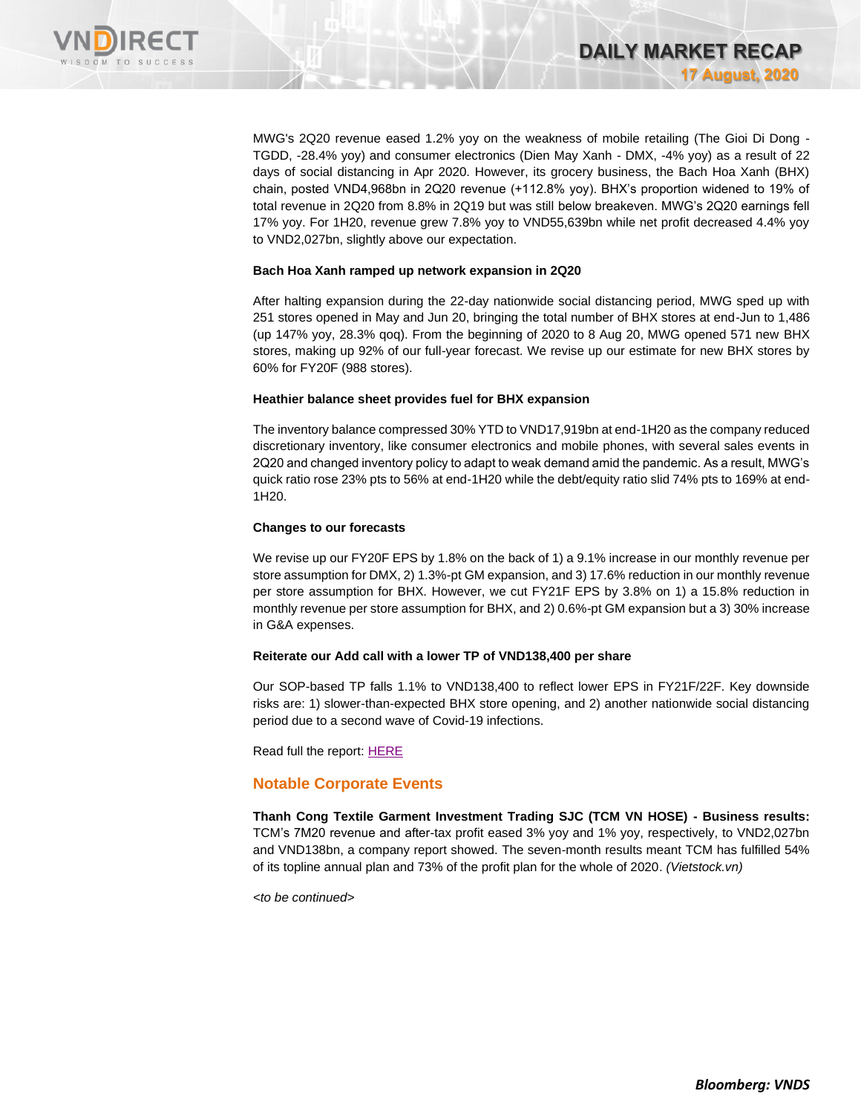

MWG's 2Q20 revenue eased 1.2% yoy on the weakness of mobile retailing (The Gioi Di Dong - TGDD, -28.4% yoy) and consumer electronics (Dien May Xanh - DMX, -4% yoy) as a result of 22 days of social distancing in Apr 2020. However, its grocery business, the Bach Hoa Xanh (BHX) chain, posted VND4,968bn in 2Q20 revenue (+112.8% yoy). BHX's proportion widened to 19% of total revenue in 2Q20 from 8.8% in 2Q19 but was still below breakeven. MWG's 2Q20 earnings fell 17% yoy. For 1H20, revenue grew 7.8% yoy to VND55,639bn while net profit decreased 4.4% yoy to VND2,027bn, slightly above our expectation.

### **Bach Hoa Xanh ramped up network expansion in 2Q20**

After halting expansion during the 22-day nationwide social distancing period, MWG sped up with 251 stores opened in May and Jun 20, bringing the total number of BHX stores at end-Jun to 1,486 (up 147% yoy, 28.3% qoq). From the beginning of 2020 to 8 Aug 20, MWG opened 571 new BHX stores, making up 92% of our full-year forecast. We revise up our estimate for new BHX stores by 60% for FY20F (988 stores).

### **Heathier balance sheet provides fuel for BHX expansion**

The inventory balance compressed 30% YTD to VND17,919bn at end-1H20 as the company reduced discretionary inventory, like consumer electronics and mobile phones, with several sales events in 2Q20 and changed inventory policy to adapt to weak demand amid the pandemic. As a result, MWG's quick ratio rose 23% pts to 56% at end-1H20 while the debt/equity ratio slid 74% pts to 169% at end-1H20.

### **Changes to our forecasts**

We revise up our FY20F EPS by 1.8% on the back of 1) a 9.1% increase in our monthly revenue per store assumption for DMX, 2) 1.3%-pt GM expansion, and 3) 17.6% reduction in our monthly revenue per store assumption for BHX. However, we cut FY21F EPS by 3.8% on 1) a 15.8% reduction in monthly revenue per store assumption for BHX, and 2) 0.6%-pt GM expansion but a 3) 30% increase in G&A expenses.

## **Reiterate our Add call with a lower TP of VND138,400 per share**

Our SOP-based TP falls 1.1% to VND138,400 to reflect lower EPS in FY21F/22F. Key downside risks are: 1) slower-than-expected BHX store opening, and 2) another nationwide social distancing period due to a second wave of Covid-19 infections.

Read full the report[: HERE](https://nhanha-public-api.vndirect.com.vn/click/OGE0ODlmZDA3MDVhYmY5ZTAxNzA1Y2ZkYmY4YjAwMDM=/ZGU2MDEzZWQxMzJlNDg3MDlmNmMzZmZiZGUxNDcxYWM=/de6013ed132e48709f6c3ffbde1471ac-MWG_Update_20200817.pdf/cmVzZWFyY2hAdm5kaXJlY3QuY29tLnZu/MjA5NDE=)

## **Notable Corporate Events**

**Thanh Cong Textile Garment Investment Trading SJC (TCM VN HOSE) - Business results:**  TCM's 7M20 revenue and after-tax profit eased 3% yoy and 1% yoy, respectively, to VND2,027bn and VND138bn, a company report showed. The seven-month results meant TCM has fulfilled 54% of its topline annual plan and 73% of the profit plan for the whole of 2020. *(Vietstock.vn)*

*<to be continued>*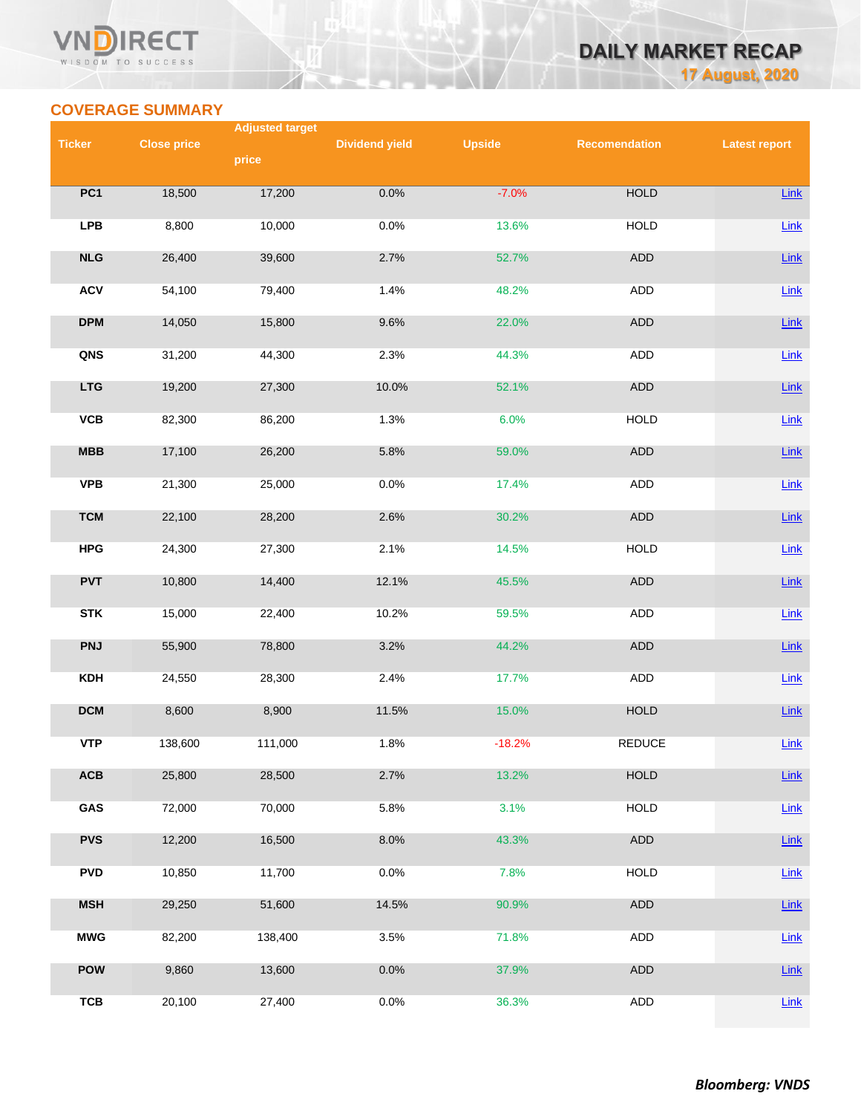## **VN RECT** WISDOM TO SUCCESS

# **DAILY MARKET RECAP 17 August, 2020**

# **COVERAGE SUMMARY**

|               |                    | <b>Adjusted target</b> |                       |               |                      |                      |
|---------------|--------------------|------------------------|-----------------------|---------------|----------------------|----------------------|
| <b>Ticker</b> | <b>Close price</b> | price                  | <b>Dividend yield</b> | <b>Upside</b> | <b>Recomendation</b> | <b>Latest report</b> |
|               |                    |                        |                       |               |                      |                      |
| PC1           | 18,500             | 17,200                 | 0.0%                  | $-7.0%$       | <b>HOLD</b>          | <b>Link</b>          |
| <b>LPB</b>    | 8,800              | 10,000                 | 0.0%                  | 13.6%         | <b>HOLD</b>          | Link                 |
| NLG           | 26,400             | 39,600                 | 2.7%                  | 52.7%         | <b>ADD</b>           | Link                 |
| <b>ACV</b>    | 54,100             | 79,400                 | 1.4%                  | 48.2%         | <b>ADD</b>           | $Link$               |
| <b>DPM</b>    | 14,050             | 15,800                 | 9.6%                  | 22.0%         | ADD                  | Link                 |
| QNS           | 31,200             | 44,300                 | 2.3%                  | 44.3%         | ADD                  | Link                 |
| <b>LTG</b>    | 19,200             | 27,300                 | 10.0%                 | 52.1%         | ADD                  | Link                 |
| VCB           | 82,300             | 86,200                 | 1.3%                  | 6.0%          | <b>HOLD</b>          | Link                 |
| MBB           | 17,100             | 26,200                 | 5.8%                  | 59.0%         | <b>ADD</b>           | Link                 |
| <b>VPB</b>    | 21,300             | 25,000                 | 0.0%                  | 17.4%         | ADD                  | Link                 |
| <b>TCM</b>    | 22,100             | 28,200                 | 2.6%                  | 30.2%         | ADD                  | Link                 |
| <b>HPG</b>    | 24,300             | 27,300                 | 2.1%                  | 14.5%         | <b>HOLD</b>          | <b>Link</b>          |
| <b>PVT</b>    | 10,800             | 14,400                 | 12.1%                 | 45.5%         | ADD                  | Link                 |
| <b>STK</b>    | 15,000             | 22,400                 | 10.2%                 | 59.5%         | ADD                  | $Link$               |
| <b>PNJ</b>    | 55,900             | 78,800                 | 3.2%                  | 44.2%         | ADD                  | <b>Link</b>          |
| <b>KDH</b>    | 24,550             | 28,300                 | 2.4%                  | 17.7%         | <b>ADD</b>           | Link                 |
| <b>DCM</b>    | 8,600              | 8,900                  | 11.5%                 | 15.0%         | <b>HOLD</b>          | <b>Link</b>          |
| <b>VTP</b>    | 138,600            | 111,000                | 1.8%                  | $-18.2%$      | <b>REDUCE</b>        | Link                 |
| ACB           | 25,800             | 28,500                 | 2.7%                  | 13.2%         | <b>HOLD</b>          | Link                 |
| GAS           | 72,000             | 70,000                 | 5.8%                  | 3.1%          | <b>HOLD</b>          | <b>Link</b>          |
| <b>PVS</b>    | 12,200             | 16,500                 | 8.0%                  | 43.3%         | ADD                  | <b>Link</b>          |
| <b>PVD</b>    | 10,850             | 11,700                 | 0.0%                  | 7.8%          | <b>HOLD</b>          | Link                 |
| <b>MSH</b>    | 29,250             | 51,600                 | 14.5%                 | 90.9%         | ADD                  | <b>Link</b>          |
| <b>MWG</b>    | 82,200             | 138,400                | 3.5%                  | 71.8%         | ADD                  | <b>Link</b>          |
| <b>POW</b>    | 9,860              | 13,600                 | 0.0%                  | 37.9%         | ADD                  | <b>Link</b>          |
| <b>TCB</b>    | 20,100             | 27,400                 | 0.0%                  | 36.3%         | ADD                  | Link                 |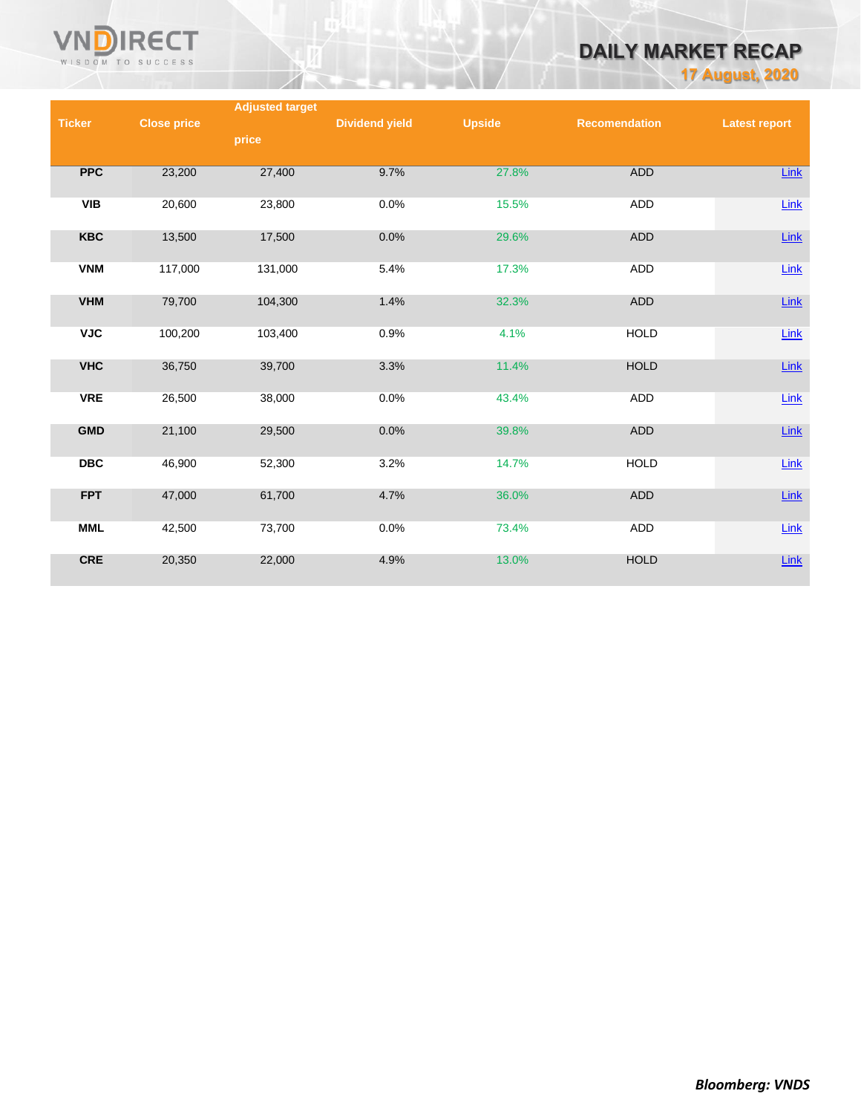

# **DAILY MARKET RECAP**

**17 August, 2020**

|               |                    | <b>Adjusted target</b> |                       |               |                      |                      |
|---------------|--------------------|------------------------|-----------------------|---------------|----------------------|----------------------|
| <b>Ticker</b> | <b>Close price</b> |                        | <b>Dividend yield</b> | <b>Upside</b> | <b>Recomendation</b> | <b>Latest report</b> |
|               |                    | price                  |                       |               |                      |                      |
|               |                    |                        |                       |               |                      |                      |
| <b>PPC</b>    | 23,200             | 27,400                 | 9.7%                  | 27.8%         | <b>ADD</b>           | Link                 |
|               |                    |                        |                       |               |                      |                      |
| <b>VIB</b>    | 20,600             | 23,800                 | 0.0%                  | 15.5%         | ADD                  | Link                 |
|               |                    |                        |                       |               |                      |                      |
| <b>KBC</b>    | 13,500             | 17,500                 | 0.0%                  | 29.6%         | ADD                  | $Link$               |
|               |                    |                        |                       |               |                      |                      |
| <b>VNM</b>    | 117,000            | 131,000                | 5.4%                  | 17.3%         | <b>ADD</b>           | Link                 |
|               |                    |                        |                       |               |                      |                      |
| <b>VHM</b>    | 79,700             | 104,300                | 1.4%                  | 32.3%         | <b>ADD</b>           | $Link$               |
|               |                    |                        |                       |               |                      |                      |
| <b>VJC</b>    | 100,200            | 103,400                | 0.9%                  | 4.1%          | <b>HOLD</b>          | $Link$               |
|               |                    |                        |                       |               |                      |                      |
| <b>VHC</b>    | 36,750             | 39,700                 | 3.3%                  | 11.4%         | <b>HOLD</b>          | $Link$               |
|               |                    |                        |                       |               |                      |                      |
| <b>VRE</b>    | 26,500             | 38,000                 | 0.0%                  | 43.4%         | ADD                  | Link                 |
|               |                    |                        |                       |               |                      |                      |
| <b>GMD</b>    | 21,100             | 29,500                 | 0.0%                  | 39.8%         | ADD                  | $Link$               |
|               |                    |                        |                       |               |                      |                      |
| <b>DBC</b>    | 46,900             | 52,300                 | 3.2%                  | 14.7%         | <b>HOLD</b>          | $Link$               |
|               |                    |                        |                       |               |                      |                      |
| <b>FPT</b>    | 47,000             | 61,700                 | 4.7%                  | 36.0%         | <b>ADD</b>           | $Link$               |
|               |                    |                        |                       |               |                      |                      |
| <b>MML</b>    | 42,500             | 73,700                 | 0.0%                  | 73.4%         | ADD                  | Link                 |
|               |                    |                        |                       |               |                      |                      |
| <b>CRE</b>    | 20,350             | 22,000                 | 4.9%                  | 13.0%         | <b>HOLD</b>          | $Link$               |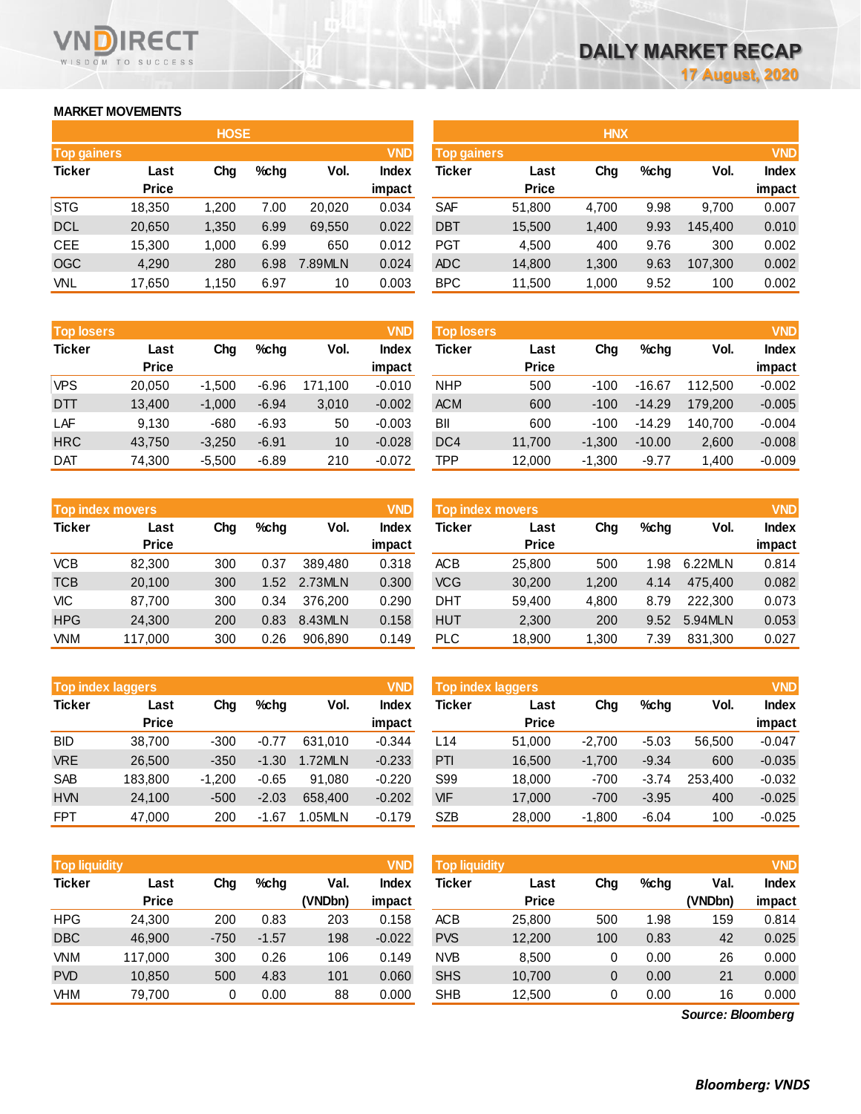# **MARKET MOVEMENTS**

WISDOM TO SUCCESS

**RECT** 

|                    | <b>HOSE</b>  |       |      |         |              |  |  |  |  |  |
|--------------------|--------------|-------|------|---------|--------------|--|--|--|--|--|
| <b>Top gainers</b> |              |       |      |         | <b>VND</b>   |  |  |  |  |  |
| <b>Ticker</b>      | Last         | Cha   | %chq | Vol.    | <b>Index</b> |  |  |  |  |  |
|                    | <b>Price</b> |       |      |         | impact       |  |  |  |  |  |
| <b>STG</b>         | 18,350       | 1,200 | 7.00 | 20.020  | 0.034        |  |  |  |  |  |
| <b>DCL</b>         | 20,650       | 1,350 | 6.99 | 69,550  | 0.022        |  |  |  |  |  |
| <b>CEE</b>         | 15,300       | 1,000 | 6.99 | 650     | 0.012        |  |  |  |  |  |
| <b>OGC</b>         | 4,290        | 280   | 6.98 | 7.89MLN | 0.024        |  |  |  |  |  |
| <b>VNL</b>         | 17,650       | 1,150 | 6.97 | 10      | 0.003        |  |  |  |  |  |

| <b>Top losers</b> |              |          |         |         | <b>VND</b>   |
|-------------------|--------------|----------|---------|---------|--------------|
| <b>Ticker</b>     | Last         | Cha      | %chq    | Vol.    | <b>Index</b> |
|                   | <b>Price</b> |          |         |         | impact       |
| <b>VPS</b>        | 20,050       | $-1,500$ | $-6.96$ | 171,100 | $-0.010$     |
| DTT               | 13,400       | $-1,000$ | $-6.94$ | 3,010   | $-0.002$     |
| LAF               | 9,130        | $-680$   | $-6.93$ | 50      | $-0.003$     |
| <b>HRC</b>        | 43,750       | $-3,250$ | $-6.91$ | 10      | $-0.028$     |
| DAT               | 74,300       | $-5,500$ | $-6.89$ | 210     | $-0.072$     |

| <b>Top index movers</b> |              |     |         |         | <b>VND</b>   |
|-------------------------|--------------|-----|---------|---------|--------------|
| <b>Ticker</b>           | Last         | Cha | $%$ chq | Vol.    | <b>Index</b> |
|                         | <b>Price</b> |     |         |         | impact       |
| <b>VCB</b>              | 82,300       | 300 | 0.37    | 389.480 | 0.318        |
| <b>TCB</b>              | 20,100       | 300 | 1.52    | 2.73MLN | 0.300        |
| <b>VIC</b>              | 87,700       | 300 | 0.34    | 376.200 | 0.290        |
| <b>HPG</b>              | 24,300       | 200 | 0.83    | 8.43MLN | 0.158        |
| <b>VNM</b>              | 117,000      | 300 | 0.26    | 906.890 | 0.149        |

|               | <b>Top index laggers</b> |          |         | <b>VND</b> |              |
|---------------|--------------------------|----------|---------|------------|--------------|
| <b>Ticker</b> | Last                     | Cha      | $%$ chq | Vol.       | <b>Index</b> |
|               | <b>Price</b>             |          |         |            | impact       |
| <b>BID</b>    | 38,700                   | $-300$   | $-0.77$ | 631,010    | $-0.344$     |
| <b>VRE</b>    | 26,500                   | $-350$   | $-1.30$ | 1.72MLN    | $-0.233$     |
| <b>SAB</b>    | 183,800                  | $-1,200$ | $-0.65$ | 91,080     | $-0.220$     |
| <b>HVN</b>    | 24,100                   | $-500$   | $-2.03$ | 658,400    | $-0.202$     |
| <b>FPT</b>    | 47,000                   | 200      | $-1.67$ | 1.05MLN    | $-0.179$     |

|                                  |              | <b>HOSE</b> |         |         |              |                           |              | <b>HNX</b> |         |         |              |
|----------------------------------|--------------|-------------|---------|---------|--------------|---------------------------|--------------|------------|---------|---------|--------------|
| <b>VND</b><br><b>Top gainers</b> |              |             |         |         |              | <b>VND</b><br>Top gainers |              |            |         |         |              |
| Ticker                           | Last         | Chg         | $%$ chg | Vol.    | <b>Index</b> | Ticker                    | Last         | Chg        | $%$ chg | Vol.    | <b>Index</b> |
|                                  | <b>Price</b> |             |         |         | impact       |                           | <b>Price</b> |            |         |         | impact       |
| STG                              | 18,350       | 1,200       | 7.00    | 20.020  | 0.034        | <b>SAF</b>                | 51,800       | 4,700      | 9.98    | 9.700   | 0.007        |
| <b>DCL</b>                       | 20,650       | 1,350       | 6.99    | 69,550  | 0.022        | <b>DBT</b>                | 15,500       | 1,400      | 9.93    | 145,400 | 0.010        |
| CEE                              | 15,300       | 1,000       | 6.99    | 650     | 0.012        | <b>PGT</b>                | 4,500        | 400        | 9.76    | 300     | 0.002        |
| OGC                              | 4,290        | 280         | 6.98    | 7.89MLN | 0.024        | <b>ADC</b>                | 14,800       | 1,300      | 9.63    | 107,300 | 0.002        |
| VNL                              | 17,650       | 1,150       | 6.97    | 10      | 0.003        | <b>BPC</b>                | 11,500       | 1,000      | 9.52    | 100     | 0.002        |
|                                  |              |             |         |         |              |                           |              |            |         |         |              |

| <b>Top losers</b> |                      |          |         |         | <b>VND</b>      | <b>Top losers</b> |                      |          |          |         | <b>VND</b>             |
|-------------------|----------------------|----------|---------|---------|-----------------|-------------------|----------------------|----------|----------|---------|------------------------|
| Ticker            | Last<br><b>Price</b> | Chg      | $%$ chg | Vol.    | Index<br>impact | Ticker            | Last<br><b>Price</b> | Chg      | $%$ chg  | Vol.    | <b>Index</b><br>impact |
| VPS               | 20.050               | $-1.500$ | $-6.96$ | 171.100 | $-0.010$        | <b>NHP</b>        | 500                  | $-100$   | $-16.67$ | 112,500 | $-0.002$               |
| DTT               | 13,400               | $-1,000$ | $-6.94$ | 3,010   | $-0.002$        | <b>ACM</b>        | 600                  | $-100$   | $-14.29$ | 179,200 | $-0.005$               |
| LAF               | 9.130                | $-680$   | $-6.93$ | 50      | $-0.003$        | BII               | 600                  | $-100$   | $-14.29$ | 140.700 | $-0.004$               |
| HRC               | 43.750               | $-3.250$ | $-6.91$ | 10      | $-0.028$        | DC <sub>4</sub>   | 11.700               | $-1.300$ | $-10.00$ | 2,600   | $-0.008$               |
| Dat               | 74,300               | $-5,500$ | $-6.89$ | 210     | $-0.072$        | TPP               | 12,000               | $-1,300$ | $-9.77$  | 1,400   | $-0.009$               |

|            | <b>VND</b><br><b>Top index movers</b> |     |      |         |                        | <b>Top index movers</b> |                      |       |         |         |                        |
|------------|---------------------------------------|-----|------|---------|------------------------|-------------------------|----------------------|-------|---------|---------|------------------------|
| Ticker     | Last<br><b>Price</b>                  | Chg | %chq | Vol.    | <b>Index</b><br>impact | Ticker                  | Last<br><b>Price</b> | Chg   | $%$ chq | Vol.    | <b>Index</b><br>impact |
| VCB        | 82.300                                | 300 | 0.37 | 389.480 | 0.318                  | ACB                     | 25,800               | 500   | 1.98    | 6.22MLN | 0.814                  |
| TCB        | 20.100                                | 300 | 1.52 | 2.73MLN | 0.300                  | <b>VCG</b>              | 30,200               | 1,200 | 4.14    | 475.400 | 0.082                  |
| <b>VIC</b> | 87.700                                | 300 | 0.34 | 376,200 | 0.290                  | <b>DHT</b>              | 59.400               | 4,800 | 8.79    | 222.300 | 0.073                  |
| HPG        | 24,300                                | 200 | 0.83 | 8.43MLN | 0.158                  | <b>HUT</b>              | 2,300                | 200   | 9.52    | 5.94MLN | 0.053                  |
| VNM        | 117,000                               | 300 | 0.26 | 906.890 | 0.149                  | <b>PLC</b>              | 18,900               | ,300  | 7.39    | 831.300 | 0.027                  |

| <b>Top index laggers</b> |                      |          |            |         | <b>VND</b>      | Top index laggers |                      |          |         |         |                        |
|--------------------------|----------------------|----------|------------|---------|-----------------|-------------------|----------------------|----------|---------|---------|------------------------|
| Ticker                   | Last<br><b>Price</b> | Chg      | %chq       | Vol.    | Index<br>impact | Ticker            | Last<br><b>Price</b> | Chg      | $%$ chg | Vol.    | <b>Index</b><br>impact |
| BID                      | 38.700               | $-300$   | $-0.77$    | 631.010 | $-0.344$        | L <sub>14</sub>   | 51,000               | $-2.700$ | $-5.03$ | 56,500  | $-0.047$               |
| <b>VRE</b>               | 26,500               | $-350$   | $-1.30$    | 1.72MLN | $-0.233$        | PTI               | 16,500               | $-1,700$ | $-9.34$ | 600     | $-0.035$               |
| SAB                      | 183,800              | $-1.200$ | $-0.65$    | 91.080  | $-0.220$        | S99               | 18,000               | $-700$   | $-3.74$ | 253.400 | $-0.032$               |
| <b>HVN</b>               | 24.100               | $-500$   | $-2.03$    | 658,400 | $-0.202$        | <b>VIF</b>        | 17,000               | $-700$   | $-3.95$ | 400     | $-0.025$               |
| FPT                      | 47,000               | 200      | . 67<br>-1 | 1.05MLN | $-0.179$        | <b>SZB</b>        | 28,000               | $-1,800$ | $-6.04$ | 100     | $-0.025$               |

| <b>Top liquidity</b> |              |        |         |         | <b>VND</b>   | <b>Top liquidity</b> |              |     |         |                   | <b>VND</b>   |
|----------------------|--------------|--------|---------|---------|--------------|----------------------|--------------|-----|---------|-------------------|--------------|
| <b>Ticker</b>        | Last         | Chg    | %chq    | Val.    | <b>Index</b> | <b>Ticker</b>        | Last         | Chg | $%$ chg | Val.              | <b>Index</b> |
|                      | <b>Price</b> |        |         | (VNDbn) | impact       |                      | <b>Price</b> |     |         | (VNDbn)           | impact       |
| <b>HPG</b>           | 24,300       | 200    | 0.83    | 203     | 0.158        | <b>ACB</b>           | 25,800       | 500 | 1.98    | 159               | 0.814        |
| <b>DBC</b>           | 46.900       | $-750$ | $-1.57$ | 198     | $-0.022$     | <b>PVS</b>           | 12,200       | 100 | 0.83    | 42                | 0.025        |
| <b>VNM</b>           | 117,000      | 300    | 0.26    | 106     | 0.149        | <b>NVB</b>           | 8,500        | 0   | 0.00    | 26                | 0.000        |
| <b>PVD</b>           | 10,850       | 500    | 4.83    | 101     | 0.060        | <b>SHS</b>           | 10,700       | 0   | 0.00    | 21                | 0.000        |
| <b>VHM</b>           | 79,700       |        | 0.00    | 88      | 0.000        | <b>SHB</b>           | 12,500       | 0   | 0.00    | 16                | 0.000        |
|                      |              |        |         |         |              |                      |              |     |         | Source: Bloomberg |              |

*Source: Bloomberg*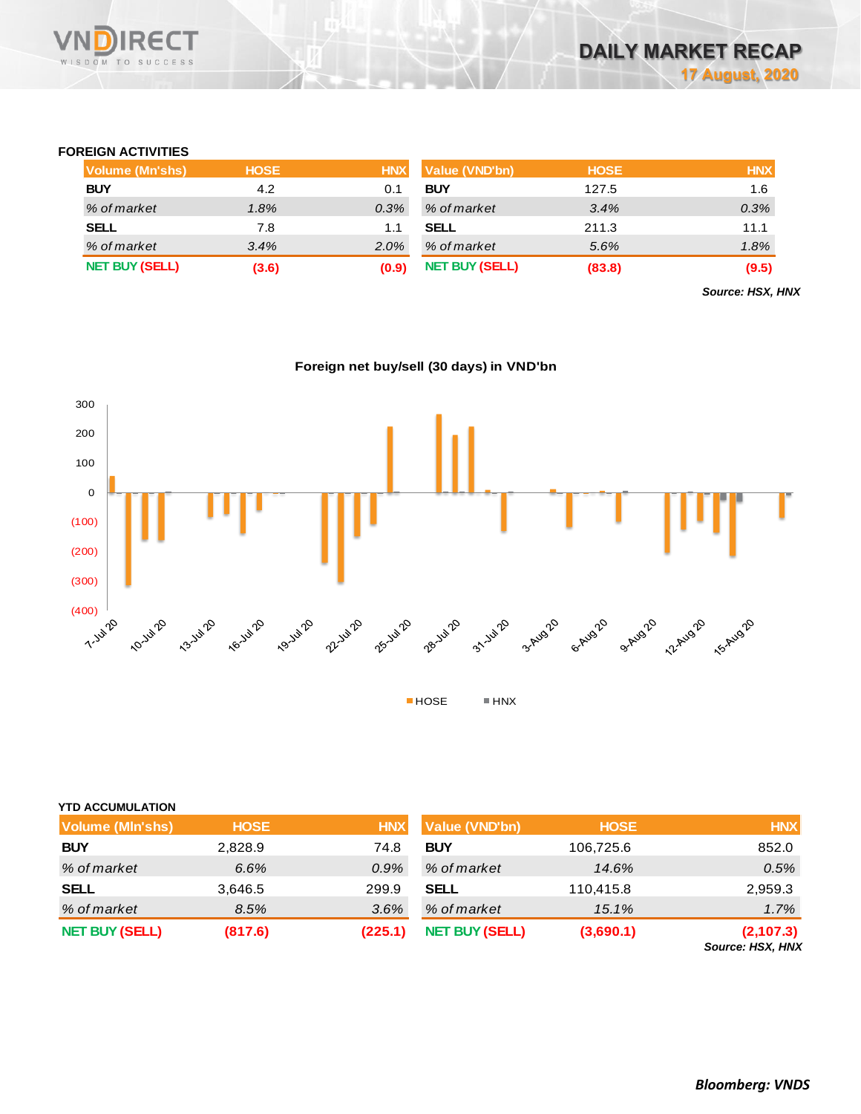

## **FOREIGN ACTIVITIES**

| Volume (Mn'shs)       | <b>HOSE</b> | <b>HNX</b> | Value (VND'bn)        | <b>HOSE</b> | <b>HNX</b> |
|-----------------------|-------------|------------|-----------------------|-------------|------------|
| <b>BUY</b>            | 4.2         |            | <b>BUY</b>            | 127.5       | 1.6        |
| % of market           | 1.8%        | 0.3%       | % of market           | 3.4%        | 0.3%       |
| <b>SELL</b>           | 7.8         |            | <b>SELL</b>           | 211.3       | 11.1       |
| % of market           | 3.4%        | 2.0%       | % of market           | 5.6%        | 1.8%       |
| <b>NET BUY (SELL)</b> | (3.6)       | (0.9)      | <b>NET BUY (SELL)</b> | (83.8)      | (9.5)      |

*Source: HSX, HNX*





## **YTD ACCUMULATION**

| <b>Volume (MIn'shs)</b> | <b>HOSE</b> | <b>HNX</b> | <b>Value (VND'bn)</b> | <b>HOSE</b> | <b>HNX</b>                           |
|-------------------------|-------------|------------|-----------------------|-------------|--------------------------------------|
| <b>BUY</b>              | 2,828.9     | 74.8       | <b>BUY</b>            | 106,725.6   | 852.0                                |
| % of market             | 6.6%        | $0.9\%$    | % of market           | 14.6%       | 0.5%                                 |
| <b>SELL</b>             | 3,646.5     | 299.9      | <b>SELL</b>           | 110,415.8   | 2,959.3                              |
| % of market             | 8.5%        | 3.6%       | % of market           | 15.1%       | 1.7%                                 |
| <b>NET BUY (SELL)</b>   | (817.6)     | (225.1)    | <b>NET BUY (SELL)</b> | (3,690.1)   | (2,107.3)<br><b>Source: HSX, HNX</b> |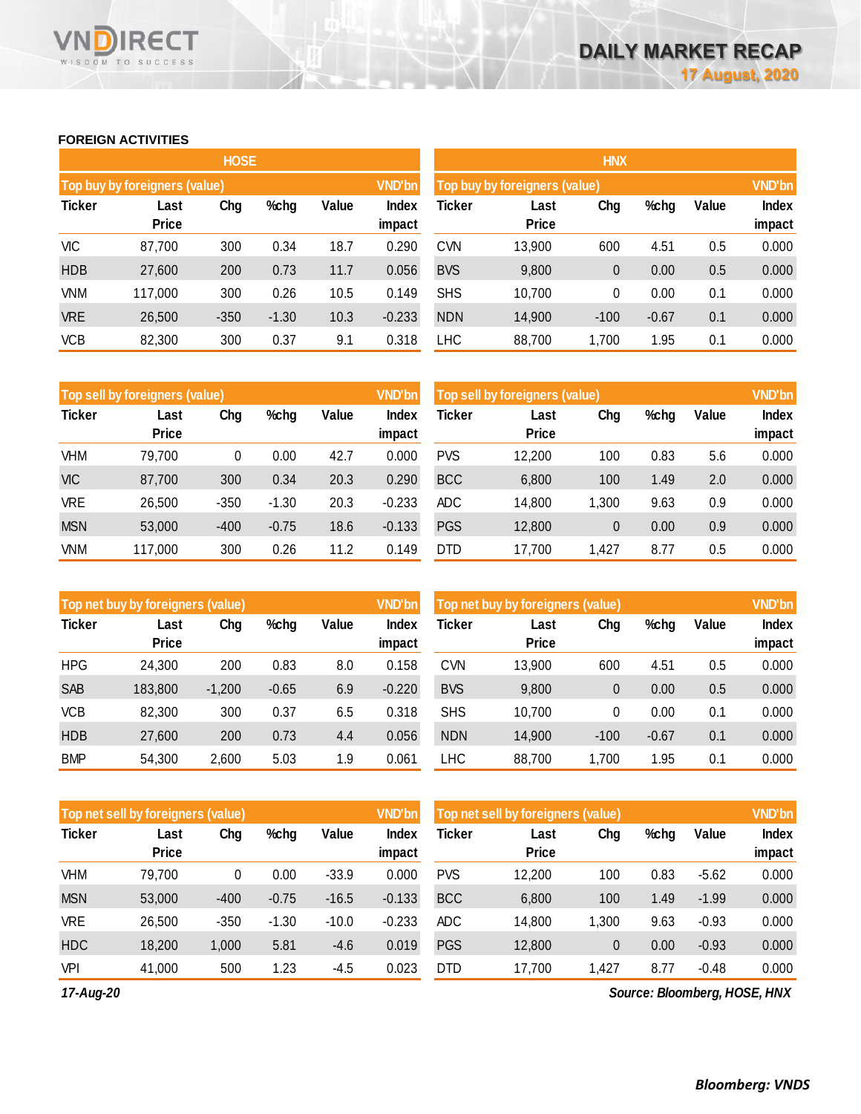# **FOREIGN ACTIVITIES**

WISDOM TO SUCCESS

**RECT** 

VND

|               |                               | <b>HOSE</b> |         |       |                 | <b>HNX</b>                    |                      |               |         |       |                        |  |
|---------------|-------------------------------|-------------|---------|-------|-----------------|-------------------------------|----------------------|---------------|---------|-------|------------------------|--|
|               | Top buy by foreigners (value) |             |         |       | <b>VND'bn</b>   | Top buy by foreigners (value) |                      | <b>VND'bn</b> |         |       |                        |  |
| <b>Ticker</b> | Last<br>Price                 | Chg         | %chg    | Value | Index<br>impact | Ticker                        | Last<br><b>Price</b> | Chg           | %chg    | Value | <b>Index</b><br>impact |  |
| VIC           | 87,700                        | 300         | 0.34    | 18.7  | 0.290           | <b>CVN</b>                    | 13,900               | 600           | 4.51    | 0.5   | 0.000                  |  |
| <b>HDB</b>    | 27,600                        | 200         | 0.73    | 11.7  | 0.056           | <b>BVS</b>                    | 9,800                | 0             | 0.00    | 0.5   | 0.000                  |  |
| <b>VNM</b>    | 117,000                       | 300         | 0.26    | 10.5  | 0.149           | <b>SHS</b>                    | 10,700               | 0             | 0.00    | 0.1   | 0.000                  |  |
| <b>VRE</b>    | 26,500                        | $-350$      | $-1.30$ | 10.3  | $-0.233$        | <b>NDN</b>                    | 14,900               | $-100$        | $-0.67$ | 0.1   | 0.000                  |  |
| <b>VCB</b>    | 82,300                        | 300         | 0.37    | 9.1   | 0.318           | <b>LHC</b>                    | 88,700               | 1,700         | 1.95    | 0.1   | 0.000                  |  |

|               | Top sell by foreigners (value) |        |         |       | VND'bn          | Top sell by foreigners (value) |                      | <b>VND'bn</b> |      |       |                        |
|---------------|--------------------------------|--------|---------|-------|-----------------|--------------------------------|----------------------|---------------|------|-------|------------------------|
| <b>Ticker</b> | Last<br><b>Price</b>           | Chg    | %chg    | Value | Index<br>impact | Ticker                         | Last<br><b>Price</b> | Chg           | %chg | Value | <b>Index</b><br>impact |
| VHM           | 79,700                         | 0      | 0.00    | 42.7  | 0.000           | <b>PVS</b>                     | 12,200               | 100           | 0.83 | 5.6   | 0.000                  |
| <b>VIC</b>    | 87,700                         | 300    | 0.34    | 20.3  | 0.290           | <b>BCC</b>                     | 6,800                | 100           | 1.49 | 2.0   | 0.000                  |
| VRE           | 26,500                         | $-350$ | $-1.30$ | 20.3  | $-0.233$        | <b>ADC</b>                     | 14,800               | 1,300         | 9.63 | 0.9   | 0.000                  |
| <b>MSN</b>    | 53,000                         | $-400$ | $-0.75$ | 18.6  | $-0.133$        | <b>PGS</b>                     | 12,800               | 0             | 0.00 | 0.9   | 0.000                  |
| VNM           | 117,000                        | 300    | 0.26    | 11.2  | 0.149           | <b>DTD</b>                     | 17,700               | 1.427         | 8.77 | 0.5   | 0.000                  |

|               | Top net buy by foreigners (value) |          |         |       | <b>VND'bn</b>   | Top net buy by foreigners (value) |                      | <b>VND'bn</b> |         |       |                 |
|---------------|-----------------------------------|----------|---------|-------|-----------------|-----------------------------------|----------------------|---------------|---------|-------|-----------------|
| <b>Ticker</b> | Last<br><b>Price</b>              | Chg      | %chg    | Value | Index<br>impact | <b>Ticker</b>                     | Last<br><b>Price</b> | Chg           | %chg    | Value | Index<br>impact |
| <b>HPG</b>    | 24,300                            | 200      | 0.83    | 8.0   | 0.158           | <b>CVN</b>                        | 13,900               | 600           | 4.51    | 0.5   | 0.000           |
|               |                                   |          |         |       |                 |                                   |                      |               |         |       |                 |
| <b>SAB</b>    | 183,800                           | $-1,200$ | $-0.65$ | 6.9   | $-0.220$        | <b>BVS</b>                        | 9,800                | 0             | 0.00    | 0.5   | 0.000           |
| VCB           | 82,300                            | 300      | 0.37    | 6.5   | 0.318           | <b>SHS</b>                        | 10,700               | 0             | 0.00    | 0.1   | 0.000           |
| <b>HDB</b>    | 27,600                            | 200      | 0.73    | 4.4   | 0.056           | <b>NDN</b>                        | 14,900               | $-100$        | $-0.67$ | 0.1   | 0.000           |
| <b>BMP</b>    | 54.300                            | 2,600    | 5.03    | . .9  | 0.061           | <b>LHC</b>                        | 88,700               | 1.700         | 1.95    | 0.1   | 0.000           |

|               | Top net sell by foreigners (value) |        |         |         | <b>VND'bn</b>   | Top net sell by foreigners (value) |                      |                |      |         |                 |
|---------------|------------------------------------|--------|---------|---------|-----------------|------------------------------------|----------------------|----------------|------|---------|-----------------|
| <b>Ticker</b> | Last<br><b>Price</b>               | Chg    | %chg    | Value   | Index<br>impact | <b>Ticker</b>                      | Last<br><b>Price</b> | Chg            | %chg | Value   | Index<br>impact |
| VHM           | 79,700                             | 0      | 0.00    | $-33.9$ | 0.000           | <b>PVS</b>                         | 12,200               | 100            | 0.83 | $-5.62$ | 0.000           |
| <b>MSN</b>    | 53,000                             | $-400$ | $-0.75$ | $-16.5$ | $-0.133$        | <b>BCC</b>                         | 6,800                | 100            | 1.49 | $-1.99$ | 0.000           |
| <b>VRE</b>    | 26,500                             | $-350$ | $-1.30$ | $-10.0$ | $-0.233$        | <b>ADC</b>                         | 14,800               | 1.300          | 9.63 | $-0.93$ | 0.000           |
| <b>HDC</b>    | 18,200                             | 1,000  | 5.81    | $-4.6$  | 0.019           | <b>PGS</b>                         | 12,800               | $\overline{0}$ | 0.00 | $-0.93$ | 0.000           |
| <b>VPI</b>    | 41,000                             | 500    | 1.23    | $-4.5$  | 0.023           | <b>DTD</b>                         | 17,700               | 1.427          | 8.77 | $-0.48$ | 0.000           |

*17-Aug-20*

*Source: Bloomberg, HOSE, HNX*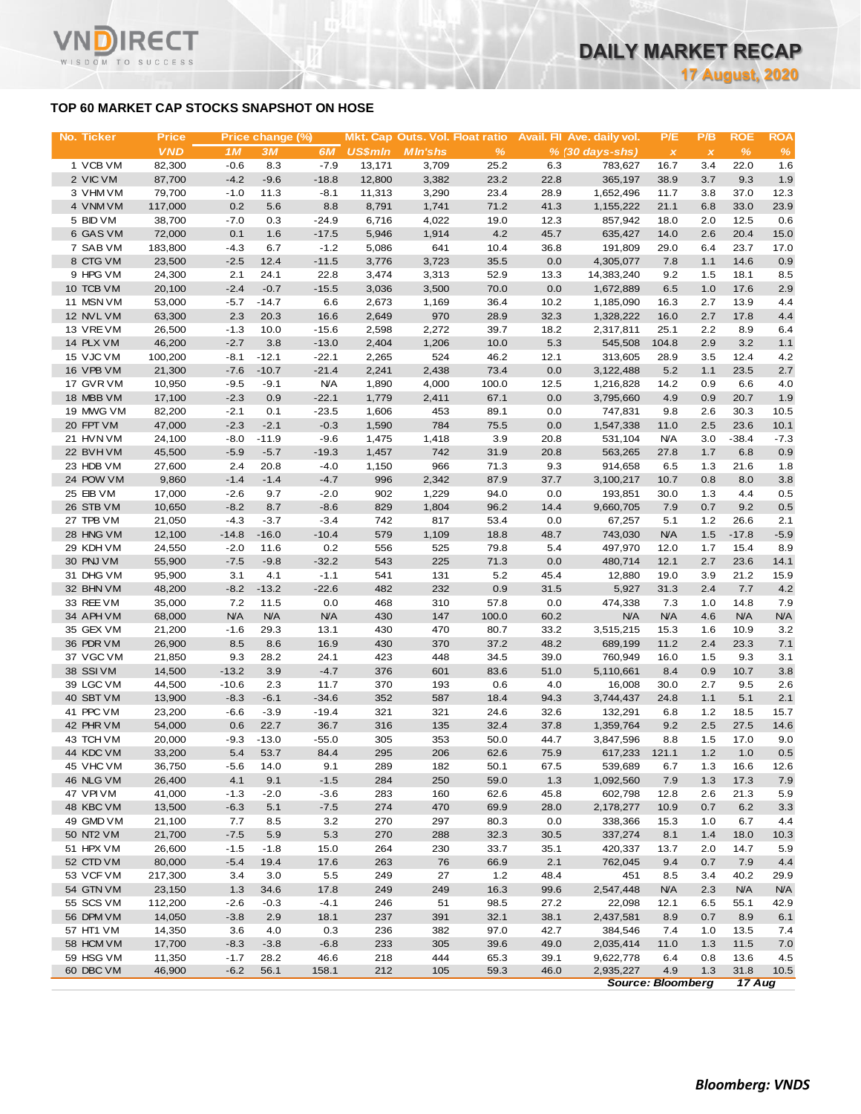# **TOP 60 MARKET CAP STOCKS SNAPSHOT ON HOSE**

Τ.

WISDOM TO SUCCESS

| No. Ticker             | <b>Price</b>      |                  | Price change (%) |                   |                | Mkt. Cap Outs. Vol. Float ratio |              |             | <b>Avail.</b> Fil Ave. daily vol. | P/E          | P/B          | <b>ROE</b>   | <b>ROA</b>    |
|------------------------|-------------------|------------------|------------------|-------------------|----------------|---------------------------------|--------------|-------------|-----------------------------------|--------------|--------------|--------------|---------------|
|                        | <b>VND</b>        | 1M               | <b>3M</b>        | 6M                | <b>US\$mln</b> | <b>MIn'shs</b>                  | %            |             | $% (30 days-shs)$                 | $\pmb{\chi}$ | $\pmb{\chi}$ | %            | $\frac{9}{6}$ |
| 1 VCB VM               | 82,300            | $-0.6$           | 8.3              | $-7.9$            | 13,171         | 3,709                           | 25.2         | 6.3         | 783,627                           | 16.7         | 3.4          | 22.0         | 1.6           |
| 2 VIC VM               | 87,700            | $-4.2$           | $-9.6$           | $-18.8$           | 12,800         | 3,382                           | 23.2         | 22.8        | 365,197                           | 38.9         | 3.7          | 9.3          | 1.9           |
| 3 VHM VM               | 79,700            | $-1.0$           | 11.3             | $-8.1$            | 11,313         | 3,290                           | 23.4         | 28.9        | 1,652,496                         | 11.7         | 3.8          | 37.0         | 12.3          |
| 4 VNM VM               | 117,000           | 0.2              | 5.6              | 8.8               | 8,791          | 1,741                           | 71.2         | 41.3        | 1,155,222                         | 21.1         | 6.8          | 33.0         | 23.9          |
| 5 BID VM               | 38,700            | $-7.0$           | 0.3              | $-24.9$           | 6,716          | 4,022                           | 19.0         | 12.3        | 857,942                           | 18.0         | 2.0          | 12.5         | 0.6           |
| 6 GAS VM               | 72,000            | 0.1              | 1.6              | $-17.5$           | 5,946          | 1,914                           | 4.2          | 45.7        | 635,427                           | 14.0         | 2.6          | 20.4         | 15.0          |
| 7 SAB VM<br>8 CTG VM   | 183,800<br>23,500 | $-4.3$<br>$-2.5$ | 6.7<br>12.4      | $-1.2$<br>$-11.5$ | 5,086<br>3,776 | 641<br>3,723                    | 10.4<br>35.5 | 36.8<br>0.0 | 191,809<br>4,305,077              | 29.0<br>7.8  | 6.4<br>1.1   | 23.7<br>14.6 | 17.0<br>0.9   |
| 9 HPG VM               | 24,300            | 2.1              | 24.1             | 22.8              | 3,474          | 3,313                           | 52.9         | 13.3        | 14,383,240                        | 9.2          | 1.5          | 18.1         | 8.5           |
| 10 TCB VM              | 20,100            | $-2.4$           | $-0.7$           | $-15.5$           | 3,036          | 3,500                           | 70.0         | 0.0         | 1,672,889                         | 6.5          | 1.0          | 17.6         | 2.9           |
| 11 MSN VM              | 53,000            | $-5.7$           | $-14.7$          | 6.6               | 2,673          | 1,169                           | 36.4         | 10.2        | 1,185,090                         | 16.3         | 2.7          | 13.9         | 4.4           |
| 12 NVL VM              | 63,300            | 2.3              | 20.3             | 16.6              | 2,649          | 970                             | 28.9         | 32.3        | 1,328,222                         | 16.0         | 2.7          | 17.8         | 4.4           |
| 13 VREVM               | 26,500            | $-1.3$           | 10.0             | $-15.6$           | 2,598          | 2,272                           | 39.7         | 18.2        | 2,317,811                         | 25.1         | 2.2          | 8.9          | 6.4           |
| 14 PLX VM              | 46,200            | $-2.7$           | 3.8              | $-13.0$           | 2,404          | 1,206                           | 10.0         | 5.3         | 545,508                           | 104.8        | 2.9          | 3.2          | $1.1$         |
| 15 VJC VM              | 100,200           | $-8.1$           | $-12.1$          | $-22.1$           | 2,265          | 524                             | 46.2         | 12.1        | 313,605                           | 28.9         | 3.5          | 12.4         | 4.2           |
| 16 VPB VM              | 21,300            | $-7.6$           | $-10.7$          | $-21.4$           | 2,241          | 2,438                           | 73.4         | 0.0         | 3,122,488                         | 5.2          | 1.1          | 23.5         | 2.7           |
| 17 GVR VM              | 10,950            | $-9.5$           | $-9.1$           | <b>N/A</b>        | 1,890          | 4,000                           | 100.0        | 12.5        | 1,216,828                         | 14.2         | 0.9          | 6.6          | 4.0           |
| 18 MBB VM              | 17,100            | $-2.3$           | 0.9              | $-22.1$           | 1,779          | 2,411                           | 67.1         | 0.0         | 3,795,660                         | 4.9          | 0.9          | 20.7         | 1.9           |
| 19 MWG VM              | 82,200            | $-2.1$           | 0.1              | $-23.5$           | 1,606          | 453                             | 89.1         | 0.0         | 747,831                           | 9.8          | 2.6          | 30.3         | 10.5          |
| 20 FPT VM              | 47,000            | $-2.3$           | $-2.1$           | $-0.3$            | 1,590          | 784                             | 75.5         | 0.0         | 1,547,338                         | 11.0         | 2.5          | 23.6         | 10.1          |
| 21 HVN VM              | 24,100            | $-8.0$           | $-11.9$          | $-9.6$            | 1,475          | 1,418                           | 3.9          | 20.8        | 531,104                           | <b>N/A</b>   | 3.0          | $-38.4$      | $-7.3$        |
| 22 BVHVM               | 45,500            | $-5.9$           | $-5.7$           | $-19.3$           | 1,457          | 742                             | 31.9         | 20.8        | 563,265                           | 27.8         | 1.7          | 6.8          | 0.9           |
| 23 HDB VM              | 27,600            | 2.4              | 20.8             | $-4.0$            | 1,150          | 966                             | 71.3         | 9.3         | 914,658                           | 6.5          | 1.3          | 21.6         | 1.8           |
| 24 POW VM              | 9,860             | $-1.4$           | $-1.4$           | $-4.7$            | 996            | 2,342                           | 87.9         | 37.7        | 3,100,217                         | 10.7         | 0.8          | 8.0          | 3.8           |
| 25 EIB VM              | 17,000            | $-2.6$           | 9.7              | $-2.0$            | 902            | 1,229                           | 94.0         | 0.0         | 193,851                           | 30.0         | 1.3          | 4.4          | 0.5           |
| 26 STB VM<br>27 TPB VM | 10,650            | $-8.2$<br>$-4.3$ | 8.7<br>$-3.7$    | $-8.6$<br>$-3.4$  | 829<br>742     | 1,804<br>817                    | 96.2         | 14.4<br>0.0 | 9,660,705                         | 7.9<br>5.1   | 0.7<br>1.2   | 9.2<br>26.6  | 0.5           |
| 28 HNG VM              | 21,050<br>12,100  | $-14.8$          | $-16.0$          | $-10.4$           | 579            | 1,109                           | 53.4<br>18.8 | 48.7        | 67,257<br>743,030                 | <b>N/A</b>   | 1.5          | $-17.8$      | 2.1<br>$-5.9$ |
| 29 KDH VM              | 24,550            | $-2.0$           | 11.6             | 0.2               | 556            | 525                             | 79.8         | 5.4         | 497,970                           | 12.0         | 1.7          | 15.4         | 8.9           |
| 30 PNJ VM              | 55,900            | $-7.5$           | $-9.8$           | $-32.2$           | 543            | 225                             | 71.3         | 0.0         | 480,714                           | 12.1         | 2.7          | 23.6         | 14.1          |
| 31 DHG VM              | 95,900            | 3.1              | 4.1              | $-1.1$            | 541            | 131                             | 5.2          | 45.4        | 12,880                            | 19.0         | 3.9          | 21.2         | 15.9          |
| 32 BHN VM              | 48,200            | $-8.2$           | $-13.2$          | $-22.6$           | 482            | 232                             | 0.9          | 31.5        | 5,927                             | 31.3         | 2.4          | 7.7          | 4.2           |
| 33 REE VM              | 35,000            | 7.2              | 11.5             | 0.0               | 468            | 310                             | 57.8         | 0.0         | 474,338                           | 7.3          | 1.0          | 14.8         | 7.9           |
| 34 APH VM              | 68,000            | <b>N/A</b>       | <b>N/A</b>       | <b>N/A</b>        | 430            | 147                             | 100.0        | 60.2        | <b>N/A</b>                        | <b>N/A</b>   | 4.6          | <b>N/A</b>   | <b>N/A</b>    |
| 35 GEX VM              | 21,200            | $-1.6$           | 29.3             | 13.1              | 430            | 470                             | 80.7         | 33.2        | 3,515,215                         | 15.3         | 1.6          | 10.9         | 3.2           |
| 36 PDR VM              | 26,900            | 8.5              | 8.6              | 16.9              | 430            | 370                             | 37.2         | 48.2        | 689,199                           | 11.2         | 2.4          | 23.3         | 7.1           |
| 37 VGC VM              | 21,850            | 9.3              | 28.2             | 24.1              | 423            | 448                             | 34.5         | 39.0        | 760,949                           | 16.0         | 1.5          | 9.3          | 3.1           |
| 38 SSIVM               | 14,500            | $-13.2$          | 3.9              | $-4.7$            | 376            | 601                             | 83.6         | 51.0        | 5,110,661                         | 8.4          | 0.9          | 10.7         | 3.8           |
| 39 LGC VM              | 44,500            | $-10.6$          | 2.3              | 11.7              | 370            | 193                             | 0.6          | 4.0         | 16,008                            | 30.0         | 2.7          | 9.5          | 2.6           |
| 40 SBT VM              | 13,900            | $-8.3$           | $-6.1$           | $-34.6$           | 352            | 587                             | 18.4         | 94.3        | 3,744,437                         | 24.8         | 1.1          | 5.1          | 2.1           |
| 41 PPC VM              | 23,200            | $-6.6$           | $-3.9$           | $-19.4$           | 321            | 321                             | 24.6         | 32.6        | 132,291                           | 6.8          | $1.2$        | 18.5         | 15.7          |
| 42 PHR VM              | 54,000            | 0.6              | 22.7             | 36.7              | 316            | 135                             | 32.4         | 37.8        | 1,359,764                         | 9.2          | 2.5          | 27.5         | 14.6          |
| 43 TCH VM              | 20,000            | $-9.3$           | $-13.0$          | $-55.0$           | 305            | 353                             | 50.0         | 44.7        | 3,847,596                         | 8.8          | 1.5          | 17.0         | 9.0           |
| 44 KDC VM              | 33,200            | 5.4              | 53.7             | 84.4              | 295            | 206                             | 62.6         | 75.9        | 617,233                           | 121.1        | 1.2          | 1.0          | 0.5           |
| 45 VHC VM              | 36,750            | $-5.6$           | 14.0             | 9.1               | 289            | 182                             | 50.1         | 67.5        | 539,689<br>1,092,560              | 6.7          | 1.3          | 16.6         | 12.6          |
| 46 NLG VM<br>47 VPIVM  | 26,400<br>41,000  | 4.1<br>$-1.3$    | 9.1<br>$-2.0$    | $-1.5$<br>$-3.6$  | 284<br>283     | 250<br>160                      | 59.0<br>62.6 | 1.3<br>45.8 | 602,798                           | 7.9          | 1.3          | 17.3<br>21.3 | 7.9           |
| 48 KBC VM              | 13,500            | $-6.3$           | 5.1              | $-7.5$            | 274            | 470                             | 69.9         | 28.0        | 2,178,277                         | 12.8<br>10.9 | 2.6<br>0.7   | 6.2          | 5.9<br>3.3    |
| 49 GMD VM              | 21,100            | 7.7              | 8.5              | 3.2               | 270            | 297                             | 80.3         | 0.0         | 338,366                           | 15.3         | 1.0          | 6.7          | 4.4           |
| 50 NT2 VM              | 21,700            | $-7.5$           | 5.9              | 5.3               | 270            | 288                             | 32.3         | 30.5        | 337,274                           | 8.1          | 1.4          | 18.0         | 10.3          |
| 51 HPX VM              | 26,600            | $-1.5$           | $-1.8$           | 15.0              | 264            | 230                             | 33.7         | 35.1        | 420,337                           | 13.7         | 2.0          | 14.7         | 5.9           |
| 52 CTD VM              | 80,000            | $-5.4$           | 19.4             | 17.6              | 263            | 76                              | 66.9         | 2.1         | 762,045                           | 9.4          | 0.7          | 7.9          | 4.4           |
| 53 VCF VM              | 217,300           | 3.4              | 3.0              | 5.5               | 249            | 27                              | 1.2          | 48.4        | 451                               | 8.5          | 3.4          | 40.2         | 29.9          |
| 54 GTN VM              | 23,150            | 1.3              | 34.6             | 17.8              | 249            | 249                             | 16.3         | 99.6        | 2,547,448                         | <b>N/A</b>   | 2.3          | <b>N/A</b>   | <b>N/A</b>    |
| 55 SCS VM              | 112,200           | $-2.6$           | $-0.3$           | $-4.1$            | 246            | 51                              | 98.5         | 27.2        | 22,098                            | 12.1         | 6.5          | 55.1         | 42.9          |
| 56 DPM VM              | 14,050            | $-3.8$           | 2.9              | 18.1              | 237            | 391                             | 32.1         | 38.1        | 2,437,581                         | 8.9          | 0.7          | 8.9          | 6.1           |
| 57 HT1 VM              | 14,350            | 3.6              | 4.0              | 0.3               | 236            | 382                             | 97.0         | 42.7        | 384,546                           | 7.4          | 1.0          | 13.5         | 7.4           |
| 58 HCM VM              | 17,700            | $-8.3$           | $-3.8$           | $-6.8$            | 233            | 305                             | 39.6         | 49.0        | 2,035,414                         | 11.0         | 1.3          | 11.5         | 7.0           |
| 59 HSG VM              | 11,350            | $-1.7$           | 28.2             | 46.6              | 218            | 444                             | 65.3         | 39.1        | 9,622,778                         | 6.4          | 0.8          | 13.6         | 4.5           |
| 60 DBC VM              | 46,900            | $-6.2$           | 56.1             | 158.1             | 212            | 105                             | 59.3         | 46.0        | 2,935,227                         | 4.9          | 1.3          | 31.8         | 10.5          |